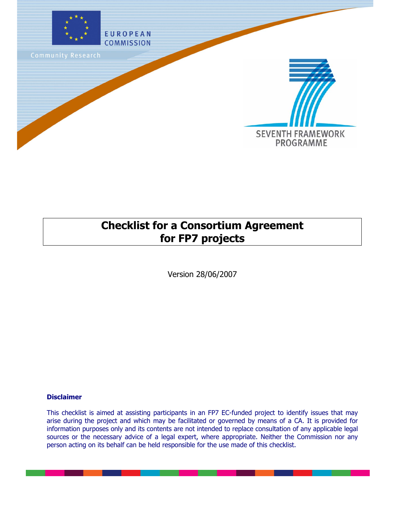

## **Checklist for a Consortium Agreement for FP7 projects**

Version 28/06/2007

#### **Disclaimer**

This checklist is aimed at assisting participants in an FP7 EC-funded project to identify issues that may arise during the project and which may be facilitated or governed by means of a CA. It is provided for information purposes only and its contents are not intended to replace consultation of any applicable legal sources or the necessary advice of a legal expert, where appropriate. Neither the Commission nor any person acting on its behalf can be held responsible for the use made of this checklist.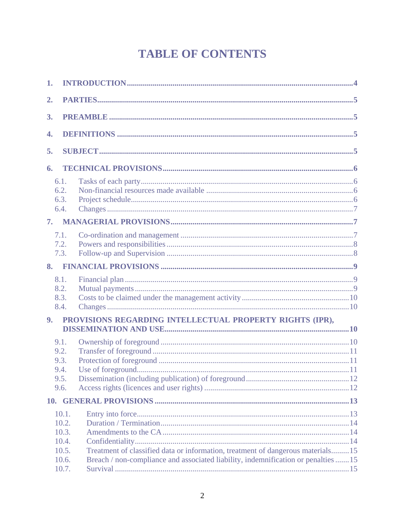# **TABLE OF CONTENTS**

| 1. |                                                                                                                                                                                                                                     |
|----|-------------------------------------------------------------------------------------------------------------------------------------------------------------------------------------------------------------------------------------|
| 2. |                                                                                                                                                                                                                                     |
| 3. |                                                                                                                                                                                                                                     |
| 4. |                                                                                                                                                                                                                                     |
| 5. |                                                                                                                                                                                                                                     |
| 6. |                                                                                                                                                                                                                                     |
|    | 6.1.<br>6.2.<br>6.3.<br>6.4.                                                                                                                                                                                                        |
|    |                                                                                                                                                                                                                                     |
|    | 7.1.<br>7.2.<br>7.3.                                                                                                                                                                                                                |
|    |                                                                                                                                                                                                                                     |
|    | 8.1.<br>8.2.<br>8.3.<br>8.4.                                                                                                                                                                                                        |
| 9. | PROVISIONS REGARDING INTELLECTUAL PROPERTY RIGHTS (IPR),                                                                                                                                                                            |
|    | 9.1.<br>9.2.<br>9.3.<br>9.4.<br>9.5.<br>9.6.                                                                                                                                                                                        |
|    |                                                                                                                                                                                                                                     |
|    | 10.1.<br>10.2.<br>10.3.<br>10.4.<br>Treatment of classified data or information, treatment of dangerous materials15<br>10.5.<br>Breach / non-compliance and associated liability, indemnification or penalties 15<br>10.6.<br>10.7. |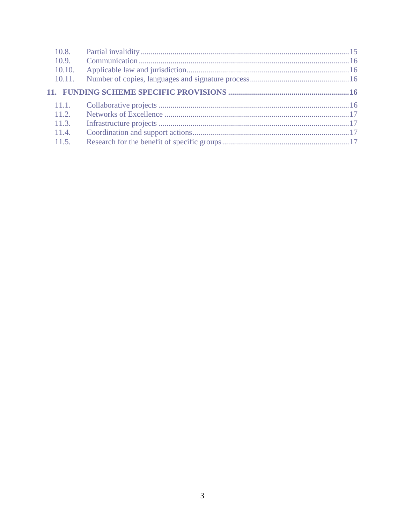| 10.8.  |  |
|--------|--|
| 10.9.  |  |
| 10.10. |  |
| 10.11. |  |
|        |  |
|        |  |
| 11.1.  |  |
| 11.2   |  |
| 11.3.  |  |
| 11.4.  |  |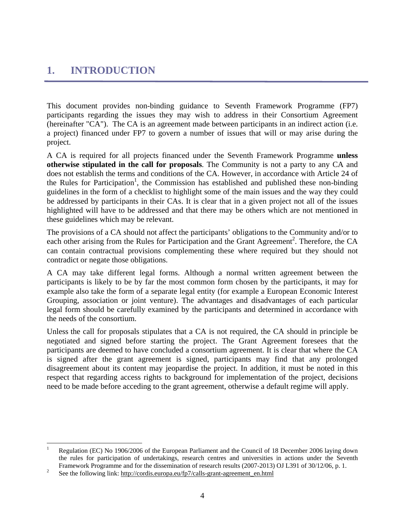### <span id="page-3-0"></span>**1. INTRODUCTION**

This document provides non-binding guidance to Seventh Framework Programme (FP7) participants regarding the issues they may wish to address in their Consortium Agreement (hereinafter "CA"). The CA is an agreement made between participants in an indirect action (i.e. a project) financed under FP7 to govern a number of issues that will or may arise during the project.

A CA is required for all projects financed under the Seventh Framework Programme **unless otherwise stipulated in the call for proposals**. The Community is not a party to any CA and does not establish the terms and conditions of the CA. However, in accordance with Article 24 of the Rules for Participation<sup>1</sup>, the Commission has established and published these non-binding guidelines in the form of a checklist to highlight some of the main issues and the way they could be addressed by participants in their CAs. It is clear that in a given project not all of the issues highlighted will have to be addressed and that there may be others which are not mentioned in these guidelines which may be relevant.

The provisions of a CA should not affect the participants' obligations to the Community and/or to each other arising from the Rules for Participation and the Grant Agreement<sup>2</sup>. Therefore, the CA can contain contractual provisions complementing these where required but they should not contradict or negate those obligations.

A CA may take different legal forms. Although a normal written agreement between the participants is likely to be by far the most common form chosen by the participants, it may for example also take the form of a separate legal entity (for example a European Economic Interest Grouping, association or joint venture). The advantages and disadvantages of each particular legal form should be carefully examined by the participants and determined in accordance with the needs of the consortium.

Unless the call for proposals stipulates that a CA is not required, the CA should in principle be negotiated and signed before starting the project. The Grant Agreement foresees that the participants are deemed to have concluded a consortium agreement. It is clear that where the CA is signed after the grant agreement is signed, participants may find that any prolonged disagreement about its content may jeopardise the project. In addition, it must be noted in this respect that regarding access rights to background for implementation of the project, decisions need to be made before acceding to the grant agreement, otherwise a default regime will apply.

 $\frac{1}{1}$  Regulation (EC) No 1906/2006 of the European Parliament and the Council of 18 December 2006 laying down the rules for participation of undertakings, research centres and universities in actions under the Seventh Framework Programme and for the dissemination of research results (2007-2013) OJ L391 of 30/12/06, p. 1.

See the following link: http://cordis.europa.eu/fp7/calls-grant-agreement\_en.html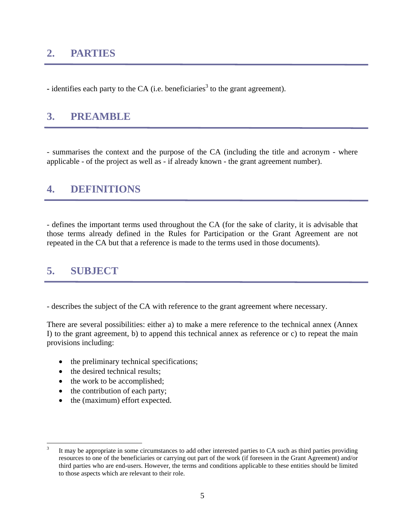### <span id="page-4-0"></span>**2. PARTIES**

 $\bullet$  identifies each party to the CA (i.e. beneficiaries<sup>3</sup> to the grant agreement).

### <span id="page-4-1"></span>**3. PREAMBLE**

- summarises the context and the purpose of the CA (including the title and acronym - where applicable - of the project as well as - if already known - the grant agreement number).

### <span id="page-4-2"></span>**4. DEFINITIONS**

- defines the important terms used throughout the CA (for the sake of clarity, it is advisable that those terms already defined in the Rules for Participation or the Grant Agreement are not repeated in the CA but that a reference is made to the terms used in those documents).

### <span id="page-4-3"></span>**5. SUBJECT**

- describes the subject of the CA with reference to the grant agreement where necessary.

There are several possibilities: either a) to make a mere reference to the technical annex (Annex I) to the grant agreement, b) to append this technical annex as reference or c) to repeat the main provisions including:

- the preliminary technical specifications;
- the desired technical results;
- the work to be accomplished;
- the contribution of each party;
- the (maximum) effort expected.

 $\frac{1}{3}$  It may be appropriate in some circumstances to add other interested parties to CA such as third parties providing resources to one of the beneficiaries or carrying out part of the work (if foreseen in the Grant Agreement) and/or third parties who are end-users. However, the terms and conditions applicable to these entities should be limited to those aspects which are relevant to their role.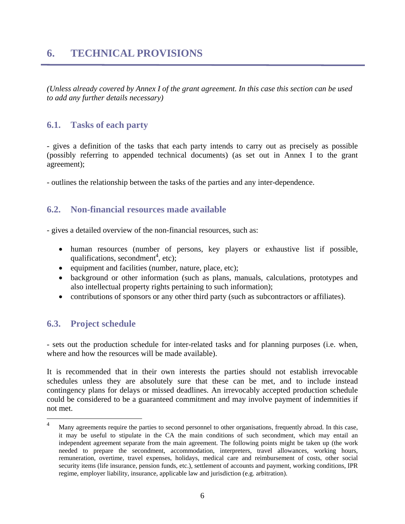### <span id="page-5-0"></span>**6. TECHNICAL PROVISIONS**

*(Unless already covered by Annex I of the grant agreement. In this case this section can be used to add any further details necessary)*

#### <span id="page-5-1"></span>**6.1. Tasks of each party**

- gives a definition of the tasks that each party intends to carry out as precisely as possible (possibly referring to appended technical documents) (as set out in Annex I to the grant agreement);

- outlines the relationship between the tasks of the parties and any inter-dependence.

#### <span id="page-5-2"></span>**6.2. Non-financial resources made available**

- gives a detailed overview of the non-financial resources, such as:

- human resources (number of persons, key players or exhaustive list if possible, qualifications, secondment<sup>4</sup>, etc);
- equipment and facilities (number, nature, place, etc);
- background or other information (such as plans, manuals, calculations, prototypes and also intellectual property rights pertaining to such information);
- contributions of sponsors or any other third party (such as subcontractors or affiliates).

#### <span id="page-5-3"></span>**6.3. Project schedule**

<u>.</u>

- sets out the production schedule for inter-related tasks and for planning purposes (i.e. when, where and how the resources will be made available).

It is recommended that in their own interests the parties should not establish irrevocable schedules unless they are absolutely sure that these can be met, and to include instead contingency plans for delays or missed deadlines. An irrevocably accepted production schedule could be considered to be a guaranteed commitment and may involve payment of indemnities if not met.

<sup>4</sup> Many agreements require the parties to second personnel to other organisations, frequently abroad. In this case, it may be useful to stipulate in the CA the main conditions of such secondment, which may entail an independent agreement separate from the main agreement. The following points might be taken up (the work needed to prepare the secondment, accommodation, interpreters, travel allowances, working hours, remuneration, overtime, travel expenses, holidays, medical care and reimbursement of costs, other social security items (life insurance, pension funds, etc.), settlement of accounts and payment, working conditions, IPR regime, employer liability, insurance, applicable law and jurisdiction (e.g. arbitration).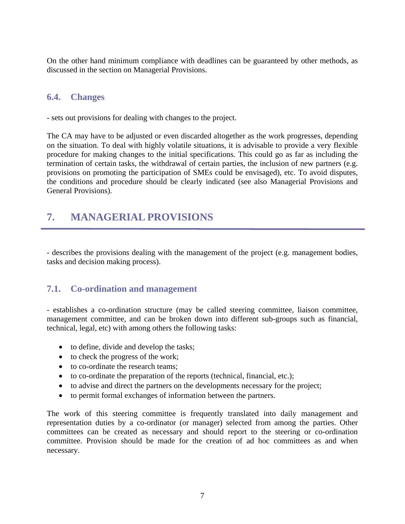On the other hand minimum compliance with deadlines can be guaranteed by other methods, as discussed in the section on Managerial Provisions.

#### <span id="page-6-0"></span>**6.4. Changes**

- sets out provisions for dealing with changes to the project.

The CA may have to be adjusted or even discarded altogether as the work progresses, depending on the situation. To deal with highly volatile situations, it is advisable to provide a very flexible procedure for making changes to the initial specifications. This could go as far as including the termination of certain tasks, the withdrawal of certain parties, the inclusion of new partners (e.g. provisions on promoting the participation of SMEs could be envisaged), etc. To avoid disputes, the conditions and procedure should be clearly indicated (see also Managerial Provisions and General Provisions).

### <span id="page-6-1"></span>**7. MANAGERIAL PROVISIONS**

- describes the provisions dealing with the management of the project (e.g. management bodies, tasks and decision making process).

#### <span id="page-6-2"></span>**7.1. Co-ordination and management**

- establishes a co-ordination structure (may be called steering committee, liaison committee, management committee, and can be broken down into different sub-groups such as financial, technical, legal, etc) with among others the following tasks:

- to define, divide and develop the tasks;
- to check the progress of the work;
- to co-ordinate the research teams:
- to co-ordinate the preparation of the reports (technical, financial, etc.);
- to advise and direct the partners on the developments necessary for the project;
- to permit formal exchanges of information between the partners.

The work of this steering committee is frequently translated into daily management and representation duties by a co-ordinator (or manager) selected from among the parties. Other committees can be created as necessary and should report to the steering or co-ordination committee. Provision should be made for the creation of ad hoc committees as and when necessary.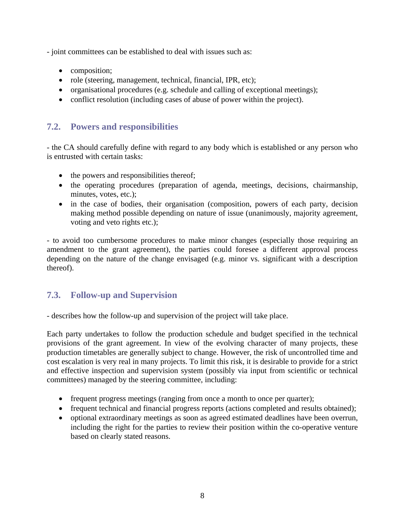- joint committees can be established to deal with issues such as:

- composition;
- role (steering, management, technical, financial, IPR, etc);
- organisational procedures (e.g. schedule and calling of exceptional meetings);
- conflict resolution (including cases of abuse of power within the project).

#### <span id="page-7-0"></span>**7.2. Powers and responsibilities**

- the CA should carefully define with regard to any body which is established or any person who is entrusted with certain tasks:

- the powers and responsibilities thereof;
- the operating procedures (preparation of agenda, meetings, decisions, chairmanship, minutes, votes, etc.);
- in the case of bodies, their organisation (composition, powers of each party, decision making method possible depending on nature of issue (unanimously, majority agreement, voting and veto rights etc.);

- to avoid too cumbersome procedures to make minor changes (especially those requiring an amendment to the grant agreement), the parties could foresee a different approval process depending on the nature of the change envisaged (e.g. minor vs. significant with a description thereof).

#### <span id="page-7-1"></span>**7.3. Follow-up and Supervision**

- describes how the follow-up and supervision of the project will take place.

Each party undertakes to follow the production schedule and budget specified in the technical provisions of the grant agreement. In view of the evolving character of many projects, these production timetables are generally subject to change. However, the risk of uncontrolled time and cost escalation is very real in many projects. To limit this risk, it is desirable to provide for a strict and effective inspection and supervision system (possibly via input from scientific or technical committees) managed by the steering committee, including:

- frequent progress meetings (ranging from once a month to once per quarter);
- frequent technical and financial progress reports (actions completed and results obtained);
- optional extraordinary meetings as soon as agreed estimated deadlines have been overrun, including the right for the parties to review their position within the co-operative venture based on clearly stated reasons.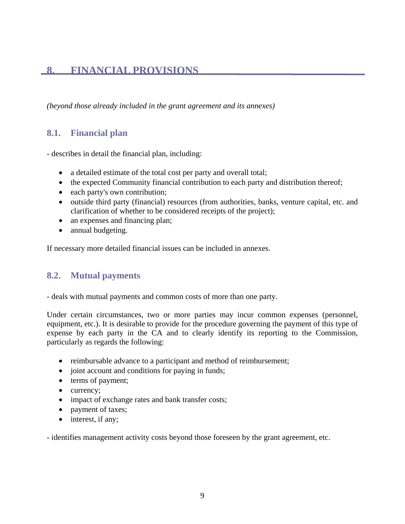### <span id="page-8-0"></span>**8. FINANCIAL PROVISIONS**

*(beyond those already included in the grant agreement and its annexes)*

#### <span id="page-8-1"></span>**8.1. Financial plan**

- describes in detail the financial plan, including:

- a detailed estimate of the total cost per party and overall total;
- the expected Community financial contribution to each party and distribution thereof;
- each party's own contribution;
- outside third party (financial) resources (from authorities, banks, venture capital, etc. and clarification of whether to be considered receipts of the project);
- an expenses and financing plan;
- annual budgeting.

If necessary more detailed financial issues can be included in annexes.

#### <span id="page-8-2"></span>**8.2. Mutual payments**

- deals with mutual payments and common costs of more than one party.

Under certain circumstances, two or more parties may incur common expenses (personnel, equipment, etc.). It is desirable to provide for the procedure governing the payment of this type of expense by each party in the CA and to clearly identify its reporting to the Commission, particularly as regards the following:

- reimbursable advance to a participant and method of reimbursement;
- joint account and conditions for paying in funds;
- terms of payment;
- currency;
- impact of exchange rates and bank transfer costs;
- payment of taxes;
- interest, if any;

- identifies management activity costs beyond those foreseen by the grant agreement, etc.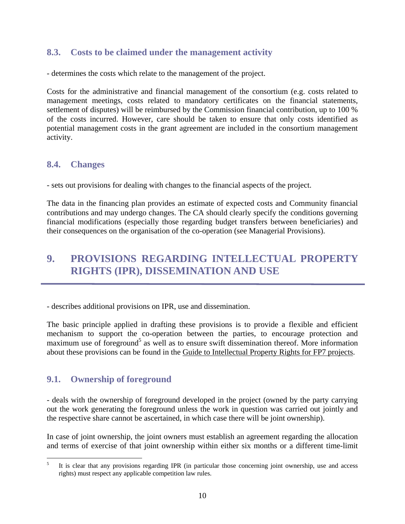#### <span id="page-9-0"></span>**8.3. Costs to be claimed under the management activity**

- determines the costs which relate to the management of the project.

Costs for the administrative and financial management of the consortium (e.g. costs related to management meetings, costs related to mandatory certificates on the financial statements, settlement of disputes) will be reimbursed by the Commission financial contribution, up to 100 % of the costs incurred. However, care should be taken to ensure that only costs identified as potential management costs in the grant agreement are included in the consortium management activity.

#### <span id="page-9-1"></span>**8.4. Changes**

- sets out provisions for dealing with changes to the financial aspects of the project.

The data in the financing plan provides an estimate of expected costs and Community financial contributions and may undergo changes. The CA should clearly specify the conditions governing financial modifications (especially those regarding budget transfers between beneficiaries) and their consequences on the organisation of the co-operation (see Managerial Provisions).

## <span id="page-9-2"></span>**9. PROVISIONS REGARDING INTELLECTUAL PROPERTY RIGHTS (IPR), DISSEMINATION AND USE**

- describes additional provisions on IPR, use and dissemination.

The basic principle applied in drafting these provisions is to provide a flexible and efficient mechanism to support the co-operation between the parties, to encourage protection and maximum use of foreground<sup>5</sup> as well as to ensure swift dissemination thereof. More information about these provisions can be found in th[e Guide to Intellectual Property Rights for FP7 projects.](ftp://ftp.cordis.europa.eu/pub/fp7/docs/ipr_en.pdf)

#### <span id="page-9-3"></span>**9.1. Ownership of foreground**

- deals with the ownership of foreground developed in the project (owned by the party carrying out the work generating the foreground unless the work in question was carried out jointly and the respective share cannot be ascertained, in which case there will be joint ownership).

In case of joint ownership, the joint owners must establish an agreement regarding the allocation and terms of exercise of that joint ownership within either six months or a different time-limit

 $\frac{1}{5}$  It is clear that any provisions regarding IPR (in particular those concerning joint ownership, use and access rights) must respect any applicable competition law rules.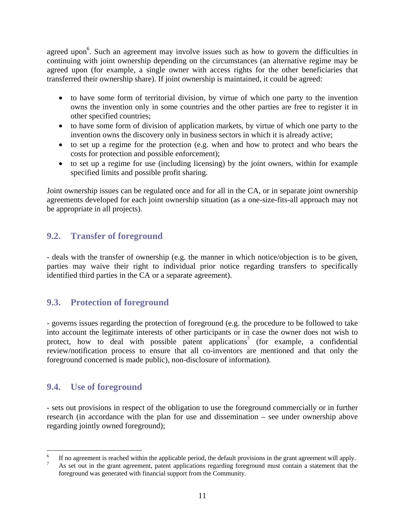agreed upon<sup>6</sup>. Such an agreement may involve issues such as how to govern the difficulties in continuing with joint ownership depending on the circumstances (an alternative regime may be agreed upon (for example, a single owner with access rights for the other beneficiaries that transferred their ownership share). If joint ownership is maintained, it could be agreed:

- to have some form of territorial division, by virtue of which one party to the invention owns the invention only in some countries and the other parties are free to register it in other specified countries;
- to have some form of division of application markets, by virtue of which one party to the invention owns the discovery only in business sectors in which it is already active;
- to set up a regime for the protection (e.g. when and how to protect and who bears the costs for protection and possible enforcement);
- to set up a regime for use (including licensing) by the joint owners, within for example specified limits and possible profit sharing.

Joint ownership issues can be regulated once and for all in the CA, or in separate joint ownership agreements developed for each joint ownership situation (as a one-size-fits-all approach may not be appropriate in all projects).

#### <span id="page-10-0"></span>**9.2. Transfer of foreground**

- deals with the transfer of ownership (e.g. the manner in which notice/objection is to be given, parties may waive their right to individual prior notice regarding transfers to specifically identified third parties in the CA or a separate agreement).

#### <span id="page-10-1"></span>**9.3. Protection of foreground**

- governs issues regarding the protection of foreground (e.g. the procedure to be followed to take into account the legitimate interests of other participants or in case the owner does not wish to protect, how to deal with possible patent applications<sup>7</sup> (for example, a confidential review/notification process to ensure that all co-inventors are mentioned and that only the foreground concerned is made public), non-disclosure of information).

#### <span id="page-10-2"></span>**9.4. Use of foreground**

- sets out provisions in respect of the obligation to use the foreground commercially or in further research (in accordance with the plan for use and dissemination – see under ownership above regarding jointly owned foreground);

 $\frac{1}{6}$ If no agreement is reached within the applicable period, the default provisions in the grant agreement will apply.

As set out in the grant agreement, patent applications regarding foreground must contain a statement that the foreground was generated with financial support from the Community.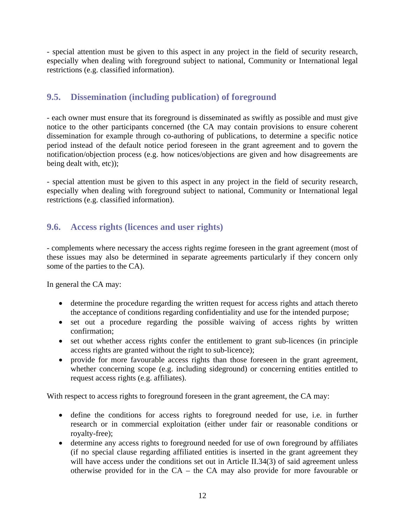- special attention must be given to this aspect in any project in the field of security research, especially when dealing with foreground subject to national, Community or International legal restrictions (e.g. classified information).

#### <span id="page-11-0"></span>**9.5. Dissemination (including publication) of foreground**

- each owner must ensure that its foreground is disseminated as swiftly as possible and must give notice to the other participants concerned (the CA may contain provisions to ensure coherent dissemination for example through co-authoring of publications, to determine a specific notice period instead of the default notice period foreseen in the grant agreement and to govern the notification/objection process (e.g. how notices/objections are given and how disagreements are being dealt with, etc));

- special attention must be given to this aspect in any project in the field of security research, especially when dealing with foreground subject to national, Community or International legal restrictions (e.g. classified information).

#### <span id="page-11-1"></span>**9.6. Access rights (licences and user rights)**

- complements where necessary the access rights regime foreseen in the grant agreement (most of these issues may also be determined in separate agreements particularly if they concern only some of the parties to the CA).

In general the CA may:

- determine the procedure regarding the written request for access rights and attach thereto the acceptance of conditions regarding confidentiality and use for the intended purpose;
- set out a procedure regarding the possible waiving of access rights by written confirmation;
- set out whether access rights confer the entitlement to grant sub-licences (in principle access rights are granted without the right to sub-licence);
- provide for more favourable access rights than those foreseen in the grant agreement, whether concerning scope (e.g. including sideground) or concerning entities entitled to request access rights (e.g. affiliates).

With respect to access rights to foreground foreseen in the grant agreement, the CA may:

- define the conditions for access rights to foreground needed for use, i.e. in further research or in commercial exploitation (either under fair or reasonable conditions or royalty-free);
- determine any access rights to foreground needed for use of own foreground by affiliates (if no special clause regarding affiliated entities is inserted in the grant agreement they will have access under the conditions set out in Article II.34(3) of said agreement unless otherwise provided for in the CA – the CA may also provide for more favourable or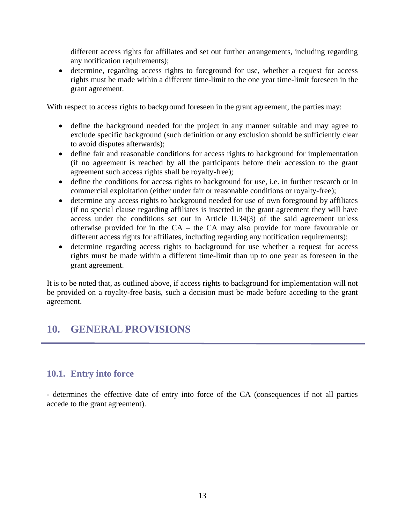different access rights for affiliates and set out further arrangements, including regarding any notification requirements);

determine, regarding access rights to foreground for use, whether a request for access rights must be made within a different time-limit to the one year time-limit foreseen in the grant agreement.

With respect to access rights to background foreseen in the grant agreement, the parties may:

- define the background needed for the project in any manner suitable and may agree to exclude specific background (such definition or any exclusion should be sufficiently clear to avoid disputes afterwards);
- define fair and reasonable conditions for access rights to background for implementation (if no agreement is reached by all the participants before their accession to the grant agreement such access rights shall be royalty-free);
- define the conditions for access rights to background for use, i.e. in further research or in commercial exploitation (either under fair or reasonable conditions or royalty-free);
- determine any access rights to background needed for use of own foreground by affiliates (if no special clause regarding affiliates is inserted in the grant agreement they will have access under the conditions set out in Article II.34(3) of the said agreement unless otherwise provided for in the CA – the CA may also provide for more favourable or different access rights for affiliates, including regarding any notification requirements);
- determine regarding access rights to background for use whether a request for access rights must be made within a different time-limit than up to one year as foreseen in the grant agreement.

It is to be noted that, as outlined above, if access rights to background for implementation will not be provided on a royalty-free basis, such a decision must be made before acceding to the grant agreement.

### <span id="page-12-0"></span>**10. GENERAL PROVISIONS**

#### <span id="page-12-1"></span>**10.1. Entry into force**

- determines the effective date of entry into force of the CA (consequences if not all parties accede to the grant agreement).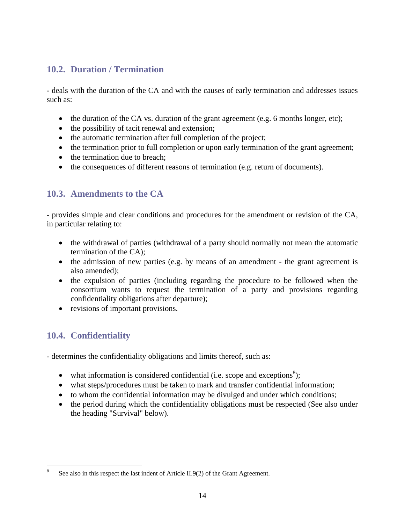#### <span id="page-13-0"></span>**10.2. Duration / Termination**

- deals with the duration of the CA and with the causes of early termination and addresses issues such as:

- the duration of the CA vs. duration of the grant agreement (e.g. 6 months longer, etc);
- the possibility of tacit renewal and extension;
- the automatic termination after full completion of the project;
- the termination prior to full completion or upon early termination of the grant agreement;
- the termination due to breach:
- the consequences of different reasons of termination (e.g. return of documents).

#### <span id="page-13-1"></span>**10.3. Amendments to the CA**

- provides simple and clear conditions and procedures for the amendment or revision of the CA, in particular relating to:

- the withdrawal of parties (withdrawal of a party should normally not mean the automatic termination of the CA);
- the admission of new parties (e.g. by means of an amendment the grant agreement is also amended);
- the expulsion of parties (including regarding the procedure to be followed when the consortium wants to request the termination of a party and provisions regarding confidentiality obligations after departure);
- revisions of important provisions.

#### <span id="page-13-2"></span>**10.4. Confidentiality**

- determines the confidentiality obligations and limits thereof, such as:

- what information is considered confidential (i.e. scope and exceptions<sup>8</sup>);
- what steps/procedures must be taken to mark and transfer confidential information;
- to whom the confidential information may be divulged and under which conditions;
- the period during which the confidentiality obligations must be respected (See also under the heading "Survival" below).

 $\frac{1}{8}$ See also in this respect the last indent of Article II.9(2) of the Grant Agreement.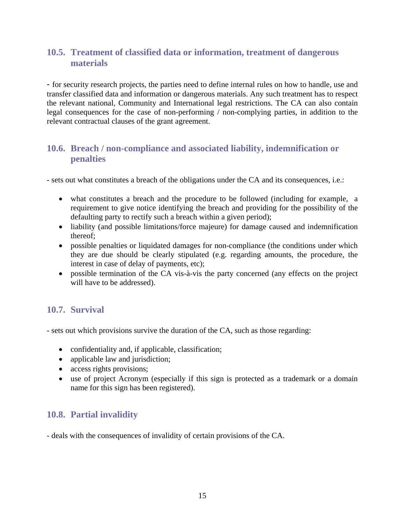#### <span id="page-14-0"></span>**10.5. Treatment of classified data or information, treatment of dangerous materials**

- for security research projects, the parties need to define internal rules on how to handle, use and transfer classified data and information or dangerous materials. Any such treatment has to respect the relevant national, Community and International legal restrictions. The CA can also contain legal consequences for the case of non-performing / non-complying parties, in addition to the relevant contractual clauses of the grant agreement.

#### <span id="page-14-1"></span>**10.6. Breach / non-compliance and associated liability, indemnification or penalties**

- sets out what constitutes a breach of the obligations under the CA and its consequences, i.e.:

- what constitutes a breach and the procedure to be followed (including for example, a requirement to give notice identifying the breach and providing for the possibility of the defaulting party to rectify such a breach within a given period);
- liability (and possible limitations/force majeure) for damage caused and indemnification thereof;
- possible penalties or liquidated damages for non-compliance (the conditions under which they are due should be clearly stipulated (e.g. regarding amounts, the procedure, the interest in case of delay of payments, etc);
- possible termination of the CA vis-à-vis the party concerned (any effects on the project will have to be addressed).

#### <span id="page-14-2"></span>**10.7. Survival**

- sets out which provisions survive the duration of the CA, such as those regarding:

- confidentiality and, if applicable, classification;
- applicable law and jurisdiction;
- access rights provisions;
- use of project Acronym (especially if this sign is protected as a trademark or a domain name for this sign has been registered).

#### <span id="page-14-3"></span>**10.8. Partial invalidity**

- deals with the consequences of invalidity of certain provisions of the CA.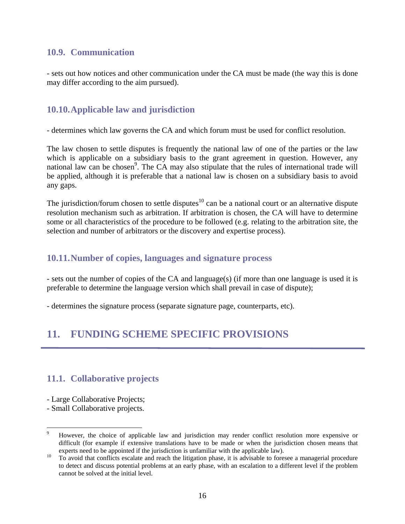#### <span id="page-15-0"></span>**10.9. Communication**

- sets out how notices and other communication under the CA must be made (the way this is done may differ according to the aim pursued).

#### <span id="page-15-1"></span>**10.10.Applicable law and jurisdiction**

- determines which law governs the CA and which forum must be used for conflict resolution.

The law chosen to settle disputes is frequently the national law of one of the parties or the law which is applicable on a subsidiary basis to the grant agreement in question. However, any national law can be chosen<sup>9</sup>. The CA may also stipulate that the rules of international trade will be applied, although it is preferable that a national law is chosen on a subsidiary basis to avoid any gaps.

The jurisdiction/forum chosen to settle disputes<sup>10</sup> can be a national court or an alternative dispute resolution mechanism such as arbitration. If arbitration is chosen, the CA will have to determine some or all characteristics of the procedure to be followed (e.g. relating to the arbitration site, the selection and number of arbitrators or the discovery and expertise process).

#### <span id="page-15-2"></span>**10.11.Number of copies, languages and signature process**

- sets out the number of copies of the CA and language(s) (if more than one language is used it is preferable to determine the language version which shall prevail in case of dispute);

- determines the signature process (separate signature page, counterparts, etc).

## <span id="page-15-3"></span>**11. FUNDING SCHEME SPECIFIC PROVISIONS**

#### <span id="page-15-4"></span>**11.1. Collaborative projects**

- Large Collaborative Projects;
- Small Collaborative projects.

1

<sup>9</sup> However, the choice of applicable law and jurisdiction may render conflict resolution more expensive or difficult (for example if extensive translations have to be made or when the jurisdiction chosen means that

experts need to be appointed if the jurisdiction is unfamiliar with the applicable law).<br>To avoid that conflicts escalate and reach the litigation phase, it is advisable to foresee a managerial procedure to detect and discuss potential problems at an early phase, with an escalation to a different level if the problem cannot be solved at the initial level.